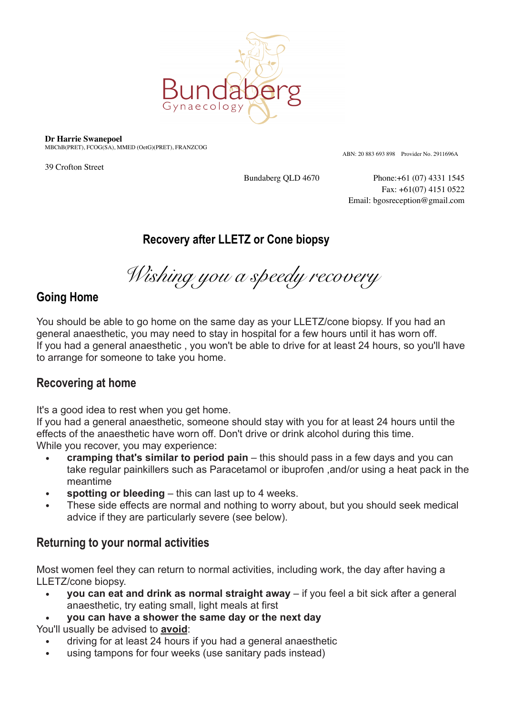

**Dr Harrie Swanepoel**

MBChB(PRET), FCOG(SA), MMED (OetG)(PRET), FRANZCOG

39 Crofton Street

ABN: 20 883 693 898 Provider No. 2911696A

Bundaberg QLD 4670 Phone:+61 (07) 4331 1545 Fax: +61(07) 4151 0522 Email: bgosreception@gmail.com

# **Recovery after LLETZ or Cone biopsy**

*Wishing you a speedy recovery* 

## **Going Home**

You should be able to go home on the same day as your LLETZ/cone biopsy. If you had an general anaesthetic, you may need to stay in hospital for a few hours until it has worn off. If you had a general anaesthetic , you won't be able to drive for at least 24 hours, so you'll have to arrange for someone to take you home.

## **Recovering at home**

It's a good idea to rest when you get home.

If you had a general anaesthetic, someone should stay with you for at least 24 hours until the effects of the anaesthetic have worn off. Don't drive or drink alcohol during this time. While you recover, you may experience:

- **• cramping that's similar to period pain** this should pass in a few days and you can take regular painkillers such as Paracetamol or ibuprofen ,and/or using a heat pack in the meantime
- **• spotting or bleeding** this can last up to 4 weeks.
- **•** These side effects are normal and nothing to worry about, but you should seek medical advice if they are particularly severe (see below).

### **Returning to your normal activities**

Most women feel they can return to normal activities, including work, the day after having a LLETZ/cone biopsy.

- **• you can eat and drink as normal straight away** if you feel a bit sick after a general anaesthetic, try eating small, light meals at first
- **• you can have a shower the same day or the next day**  You'll usually be advised to **avoid**:
	- driving for at least 24 hours if you had a general anaesthetic
	- using tampons for four weeks (use sanitary pads instead)